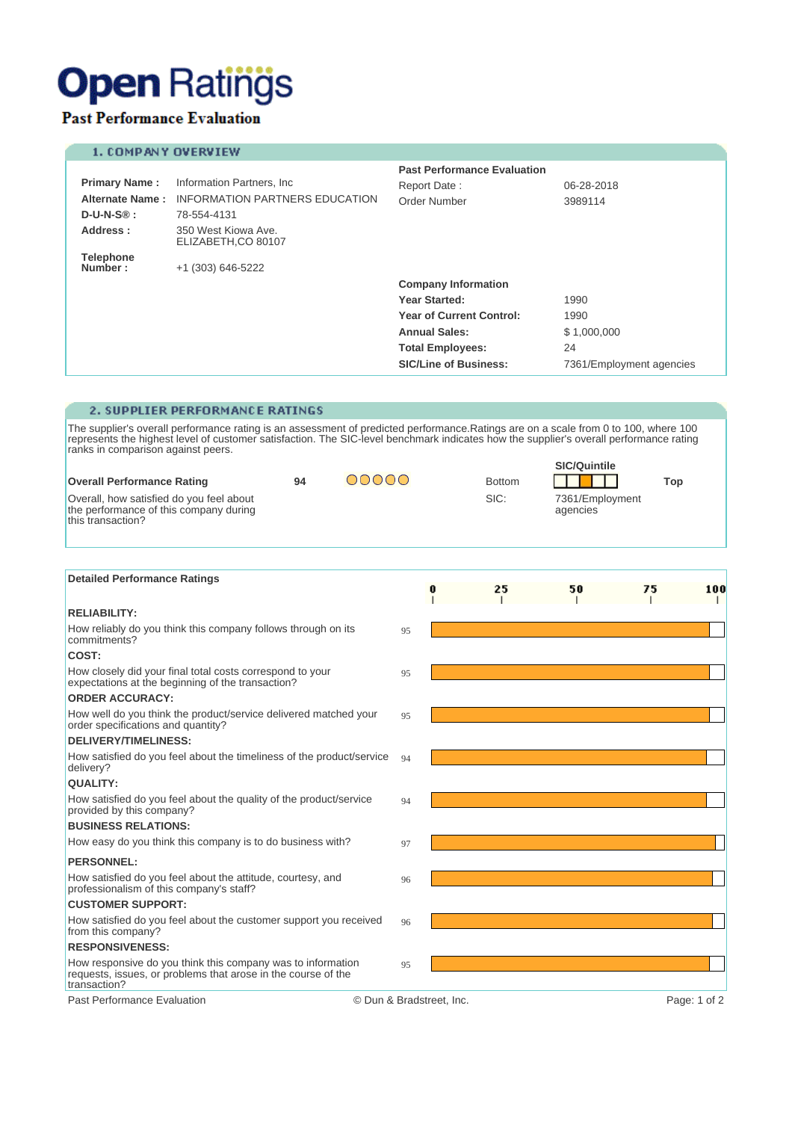# **Open Ratings**

## **Past Performance Evaluation**

### 1. COMPANY OVERVIEW

|                             |                                            | <b>Past Performance Evaluation</b> |                          |  |  |
|-----------------------------|--------------------------------------------|------------------------------------|--------------------------|--|--|
| <b>Primary Name:</b>        | Information Partners, Inc.                 | Report Date:                       | 06-28-2018               |  |  |
| <b>Alternate Name:</b>      | <b>INFORMATION PARTNERS EDUCATION</b>      | Order Number                       | 3989114                  |  |  |
| $D-U-N-S\circledR :$        | 78-554-4131                                |                                    |                          |  |  |
| Address:                    | 350 West Kiowa Ave.<br>ELIZABETH, CO 80107 |                                    |                          |  |  |
| <b>Telephone</b><br>Number: | +1 (303) 646-5222                          |                                    |                          |  |  |
|                             |                                            | <b>Company Information</b>         |                          |  |  |
|                             |                                            | Year Started:                      | 1990                     |  |  |
|                             |                                            | <b>Year of Current Control:</b>    | 1990                     |  |  |
|                             |                                            | <b>Annual Sales:</b>               | \$1,000,000              |  |  |
|                             |                                            | <b>Total Employees:</b>            | 24                       |  |  |
|                             |                                            | <b>SIC/Line of Business:</b>       | 7361/Employment agencies |  |  |

### 2. SUPPLIER PERFORMANCE RATINGS

The supplier's overall performance rating is an assessment of predicted performance. Ratings are on a scale from 0 to 100, where 100 represents the highest level of customer satisfaction. The SIC-level benchmark indicates  $0.06...$ 

|                                                                                                         |    |      |               | <b>SIC/Quintile</b>         |     |
|---------------------------------------------------------------------------------------------------------|----|------|---------------|-----------------------------|-----|
| <b>Overall Performance Rating</b>                                                                       | 94 | NNNN | <b>Bottom</b> |                             | Top |
| Overall, how satisfied do you feel about<br>the performance of this company during<br>this transaction? |    |      | SIC:          | 7361/Employment<br>agencies |     |

| <b>Detailed Performance Ratings</b>                                                                                                          |                          |    |    |    |              |
|----------------------------------------------------------------------------------------------------------------------------------------------|--------------------------|----|----|----|--------------|
|                                                                                                                                              |                          | 25 | 50 | 75 | 100          |
| <b>RELIABILITY:</b>                                                                                                                          |                          |    |    |    |              |
| How reliably do you think this company follows through on its<br>commitments?                                                                | 95                       |    |    |    |              |
| COST:                                                                                                                                        |                          |    |    |    |              |
| How closely did your final total costs correspond to your<br>expectations at the beginning of the transaction?                               | 95                       |    |    |    |              |
| <b>ORDER ACCURACY:</b>                                                                                                                       |                          |    |    |    |              |
| How well do you think the product/service delivered matched your<br>order specifications and quantity?                                       | 95                       |    |    |    |              |
| <b>DELIVERY/TIMELINESS:</b>                                                                                                                  |                          |    |    |    |              |
| How satisfied do you feel about the timeliness of the product/service<br>delivery?                                                           | 94                       |    |    |    |              |
| <b>QUALITY:</b>                                                                                                                              |                          |    |    |    |              |
| How satisfied do you feel about the quality of the product/service<br>provided by this company?                                              | 94                       |    |    |    |              |
| <b>BUSINESS RELATIONS:</b>                                                                                                                   |                          |    |    |    |              |
| How easy do you think this company is to do business with?                                                                                   | 97                       |    |    |    |              |
| <b>PERSONNEL:</b>                                                                                                                            |                          |    |    |    |              |
| How satisfied do you feel about the attitude, courtesy, and<br>professionalism of this company's staff?                                      | 96                       |    |    |    |              |
| <b>CUSTOMER SUPPORT:</b>                                                                                                                     |                          |    |    |    |              |
| How satisfied do you feel about the customer support you received<br>from this company?                                                      | 96                       |    |    |    |              |
| <b>RESPONSIVENESS:</b>                                                                                                                       |                          |    |    |    |              |
| How responsive do you think this company was to information<br>requests, issues, or problems that arose in the course of the<br>transaction? | 95                       |    |    |    |              |
| Past Performance Evaluation                                                                                                                  | © Dun & Bradstreet, Inc. |    |    |    | Page: 1 of 2 |